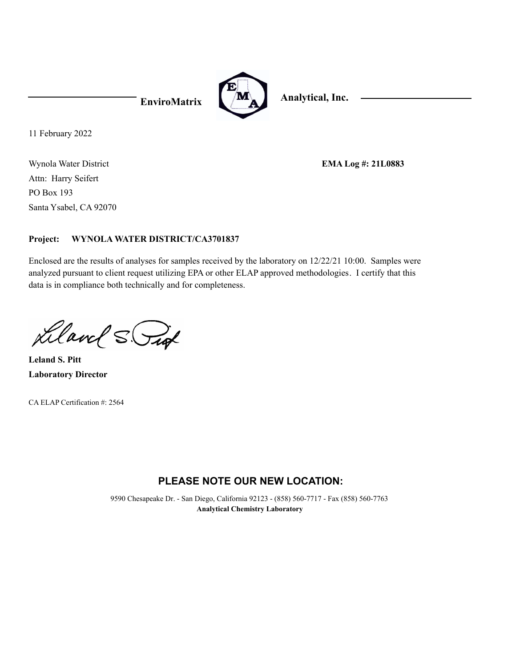

11 February 2022

Wynola Water District Santa Ysabel, CA 92070 PO Box 193 Attn: Harry Seifert

**EMA Log #: 21L0883**

#### **WYNOLA WATER DISTRICT/CA3701837 Project:**

Enclosed are the results of analyses for samples received by the laboratory on 12/22/21 10:00. Samples were analyzed pursuant to client request utilizing EPA or other ELAP approved methodologies. I certify that this data is in compliance both technically and for completeness.

Liland S. Put

**Laboratory Director Leland S. Pitt**

CA ELAP Certification #: 2564

# **PLEASE NOTE OUR NEW LOCATION:**

9590 Chesapeake Dr. - San Diego, California 92123 - (858) 560-7717 - Fax (858) 560-7763 **Analytical Chemistry Laboratory**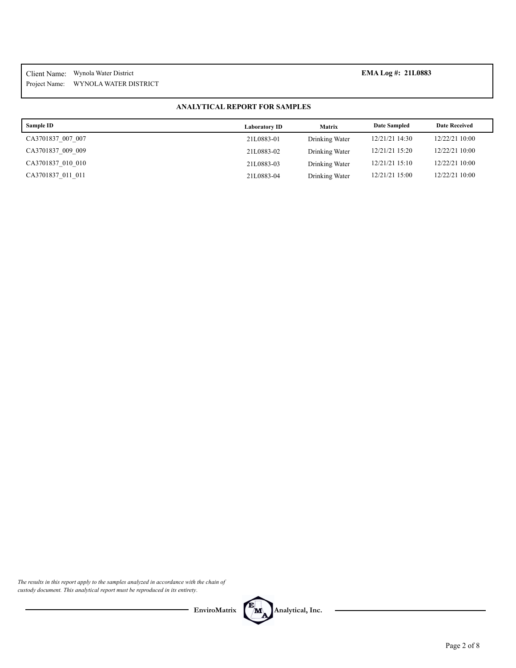Project Name: Client Name: Wynola Water District **EMA Log #: 21L0883** WYNOLA WATER DISTRICT

### **ANALYTICAL REPORT FOR SAMPLES**

| Sample ID         | <b>Laboratory ID</b> | <b>Matrix</b>  | <b>Date Sampled</b> | <b>Date Received</b> |
|-------------------|----------------------|----------------|---------------------|----------------------|
| CA3701837 007 007 | 21L0883-01           | Drinking Water | 12/21/21 14:30      | 12/22/21 10:00       |
| CA3701837 009 009 | 21L0883-02           | Drinking Water | 12/21/21 15:20      | 12/22/21 10:00       |
| CA3701837 010 010 | 21L0883-03           | Drinking Water | 12/21/21 15:10      | 12/22/21 10:00       |
| CA3701837 011 011 | 21L0883-04           | Drinking Water | 12/21/21 15:00      | 12/22/21 10:00       |

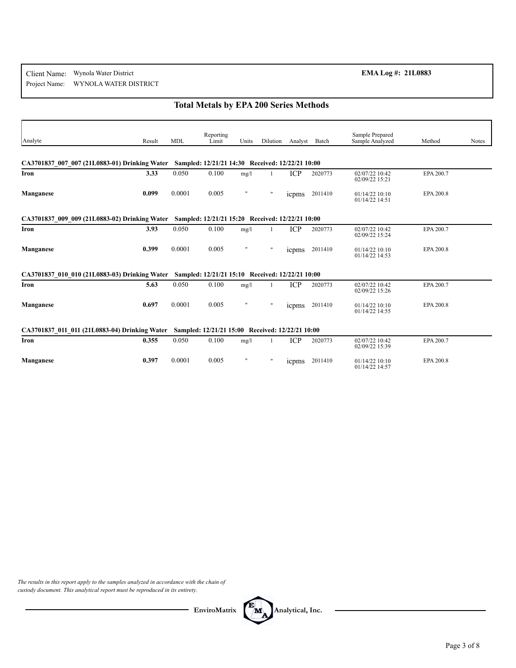#### Project Name: Client Name: Wynola Water District **EMA Log #: 21L0883** WYNOLA WATER DISTRICT

# **Total Metals by EPA 200 Series Methods**

| Analyte                                                                                        | Result | <b>MDL</b> | Reporting<br>Limit                               | Units          | Dilution     | Analyst       | Batch   | Sample Prepared<br>Sample Analyzed | Method    | <b>Notes</b> |
|------------------------------------------------------------------------------------------------|--------|------------|--------------------------------------------------|----------------|--------------|---------------|---------|------------------------------------|-----------|--------------|
|                                                                                                |        |            |                                                  |                |              |               |         |                                    |           |              |
| CA3701837 007 007 (21L0883-01) Drinking Water Sampled: 12/21/21 14:30 Received: 12/22/21 10:00 |        |            |                                                  |                |              |               |         |                                    |           |              |
| Iron                                                                                           | 3.33   | 0.050      | 0.100                                            | mg/l           |              | ICP           | 2020773 | 02/07/22 10:42<br>02/09/22 15:21   | EPA 200.7 |              |
| Manganese                                                                                      | 0.099  | 0.0001     | 0.005                                            | $\mathbf{H}$   | $\mathbf{H}$ | icpms         | 2011410 | 01/14/22 10:10<br>01/14/22 14:51   | EPA 200.8 |              |
| CA3701837 009 009 (21L0883-02) Drinking Water                                                  |        |            | Sampled: 12/21/21 15:20 Received: 12/22/21 10:00 |                |              |               |         |                                    |           |              |
| Iron                                                                                           | 3.93   | 0.050      | 0.100                                            | mg/l           |              | <b>ICP</b>    | 2020773 | 02/07/22 10:42<br>02/09/22 15:24   | EPA 200.7 |              |
| Manganese                                                                                      | 0.399  | 0.0001     | 0.005                                            |                | $\mathbf{H}$ | <i>s</i> come | 2011410 | $01/14/22$ 10:10<br>01/14/22 14:53 | EPA 200.8 |              |
| CA3701837 010 010 (21L0883-03) Drinking Water Sampled: 12/21/21 15:10 Received: 12/22/21 10:00 |        |            |                                                  |                |              |               |         |                                    |           |              |
| Iron                                                                                           | 5.63   | 0.050      | 0.100                                            | mg/l           | $\mathbf{1}$ | <b>ICP</b>    | 2020773 | 02/07/22 10:42<br>02/09/22 15:26   | EPA 200.7 |              |
| Manganese                                                                                      | 0.697  | 0.0001     | 0.005                                            |                | $\mathbf{H}$ | icpms         | 2011410 | 01/14/22 10:10<br>01/14/22 14:55   | EPA 200.8 |              |
| CA3701837 011 011 (21L0883-04) Drinking Water                                                  |        |            | Sampled: 12/21/21 15:00 Received: 12/22/21 10:00 |                |              |               |         |                                    |           |              |
| Iron                                                                                           | 0.355  | 0.050      | 0.100                                            | mg/l           | $\mathbf{1}$ | ICP           | 2020773 | 02/07/22 10:42<br>02/09/22 15:39   | EPA 200.7 |              |
| Manganese                                                                                      | 0.397  | 0.0001     | 0.005                                            | $\blacksquare$ | $\mathbf{H}$ | <i>s</i> come | 2011410 | $01/14/22$ 10:10<br>01/14/22 14:57 | EPA 200.8 |              |

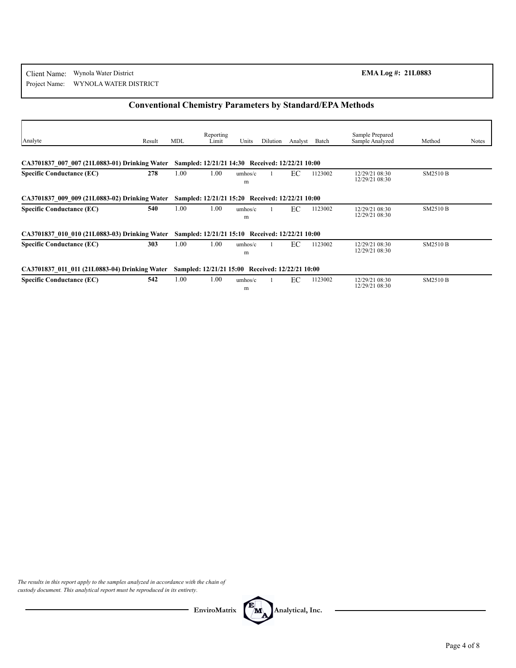## **Conventional Chemistry Parameters by Standard/EPA Methods**

| Analyte                                       | Result | <b>MDL</b> | Reporting<br>Limit                               | Units        | Dilution | Analyst | Batch   | Sample Prepared<br>Sample Analyzed | Method          | Notes |
|-----------------------------------------------|--------|------------|--------------------------------------------------|--------------|----------|---------|---------|------------------------------------|-----------------|-------|
| CA3701837 007 007 (21L0883-01) Drinking Water |        |            | Sampled: 12/21/21 14:30 Received: 12/22/21 10:00 |              |          |         |         |                                    |                 |       |
| <b>Specific Conductance (EC)</b>              | 278    | 1.00       | 1.00                                             | umbos/c<br>m |          | EC      | 1123002 | 12/29/21 08:30<br>12/29/21 08:30   | <b>SM2510 B</b> |       |
| CA3701837 009 009 (21L0883-02) Drinking Water |        |            | Sampled: 12/21/21 15:20 Received: 12/22/21 10:00 |              |          |         |         |                                    |                 |       |
| <b>Specific Conductance (EC)</b>              | 540    | 1.00       | 1.00                                             | umbos/c<br>m |          | EC      | 1123002 | 12/29/21 08:30<br>12/29/21 08:30   | <b>SM2510 B</b> |       |
| CA3701837 010 010 (21L0883-03) Drinking Water |        |            | Sampled: 12/21/21 15:10 Received: 12/22/21 10:00 |              |          |         |         |                                    |                 |       |
| <b>Specific Conductance (EC)</b>              | 303    | 1.00       | 1.00                                             | umhos/c<br>m |          | EC      | 1123002 | 12/29/21 08:30<br>12/29/21 08:30   | <b>SM2510 B</b> |       |
| CA3701837 011 011 (21L0883-04) Drinking Water |        |            | Sampled: 12/21/21 15:00 Received: 12/22/21 10:00 |              |          |         |         |                                    |                 |       |
| <b>Specific Conductance (EC)</b>              | 542    | 1.00       | 1.00                                             | umbos/c<br>m |          | EC      | 1123002 | 12/29/21 08:30<br>12/29/21 08:30   | <b>SM2510 B</b> |       |

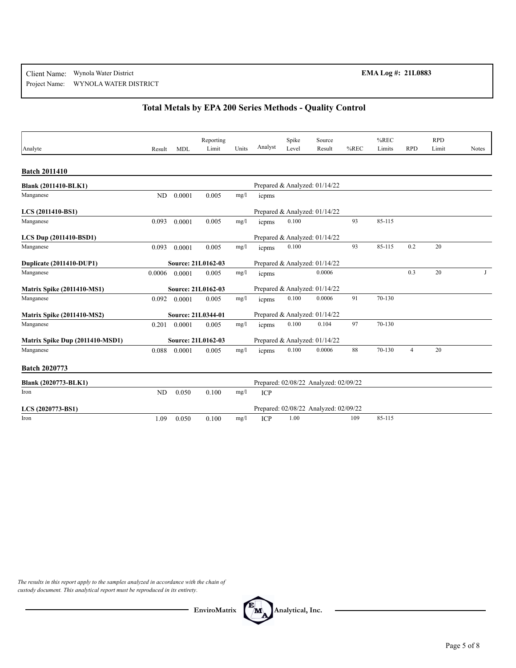## **Total Metals by EPA 200 Series Methods - Quality Control**

| Analyte                           |                |            | Reporting<br>Limit | Units | Analyst | Spike<br>Level | Source<br>Result                      | $%$ REC | %REC<br>Limits | <b>RPD</b> | <b>RPD</b><br>Limit | Notes |
|-----------------------------------|----------------|------------|--------------------|-------|---------|----------------|---------------------------------------|---------|----------------|------------|---------------------|-------|
|                                   | Result         | <b>MDL</b> |                    |       |         |                |                                       |         |                |            |                     |       |
| <b>Batch 2011410</b>              |                |            |                    |       |         |                |                                       |         |                |            |                     |       |
| <b>Blank (2011410-BLK1)</b>       |                |            |                    |       |         |                | Prepared & Analyzed: 01/14/22         |         |                |            |                     |       |
| Manganese                         | ND             | 0.0001     | 0.005              | mg/l  | icpms   |                |                                       |         |                |            |                     |       |
| LCS (2011410-BS1)                 |                |            |                    |       |         |                | Prepared & Analyzed: 01/14/22         |         |                |            |                     |       |
| Manganese                         | 0.093          | 0.0001     | 0.005              | mg/l  | icpms   | 0.100          |                                       | 93      | 85-115         |            |                     |       |
| LCS Dup (2011410-BSD1)            |                |            |                    |       |         |                | Prepared & Analyzed: 01/14/22         |         |                |            |                     |       |
| Manganese                         | 0.093          | 0.0001     | 0.005              | mg/l  | icpms   | 0.100          |                                       | 93      | 85-115         | 0.2        | 20                  |       |
| Duplicate (2011410-DUP1)          |                |            | Source: 21L0162-03 |       |         |                | Prepared & Analyzed: 01/14/22         |         |                |            |                     |       |
| Manganese                         | 0.0006         | 0.0001     | 0.005              | mg/l  | icpms   |                | 0.0006                                |         |                | 0.3        | 20                  | J     |
| <b>Matrix Spike (2011410-MS1)</b> |                |            | Source: 21L0162-03 |       |         |                | Prepared & Analyzed: 01/14/22         |         |                |            |                     |       |
| Manganese                         | 0.092          | 0.0001     | 0.005              | mg/l  | icpms   | 0.100          | 0.0006                                | 91      | 70-130         |            |                     |       |
| <b>Matrix Spike (2011410-MS2)</b> |                |            | Source: 21L0344-01 |       |         |                | Prepared & Analyzed: 01/14/22         |         |                |            |                     |       |
| Manganese                         | 0.201          | 0.0001     | 0.005              | mg/l  | icpms   | 0.100          | 0.104                                 | 97      | 70-130         |            |                     |       |
| Matrix Spike Dup (2011410-MSD1)   |                |            | Source: 21L0162-03 |       |         |                | Prepared & Analyzed: 01/14/22         |         |                |            |                     |       |
| Manganese                         | 0.088          | 0.0001     | 0.005              | mg/l  | icpms   | 0.100          | 0.0006                                | 88      | 70-130         | 4          | 20                  |       |
| <b>Batch 2020773</b>              |                |            |                    |       |         |                |                                       |         |                |            |                     |       |
| Blank (2020773-BLK1)              |                |            |                    |       |         |                | Prepared: 02/08/22 Analyzed: 02/09/22 |         |                |            |                     |       |
| Iron                              | N <sub>D</sub> | 0.050      | 0.100              | mg/l  | ICP     |                |                                       |         |                |            |                     |       |
| LCS (2020773-BS1)                 |                |            |                    |       |         |                | Prepared: 02/08/22 Analyzed: 02/09/22 |         |                |            |                     |       |
| Iron                              | 1.09           | 0.050      | 0.100              | mg/l  | ICP     | 1.00           |                                       | 109     | 85-115         |            |                     |       |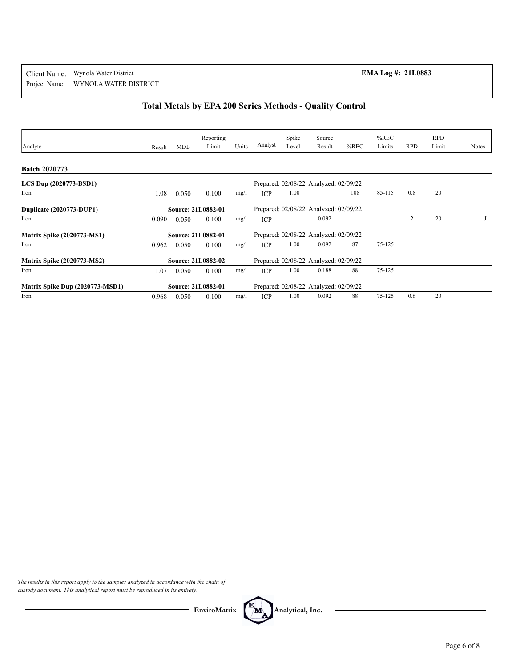# **Total Metals by EPA 200 Series Methods - Quality Control**

|                                   |        |            | Reporting                 |       |            |                | Source                                |         | $%$ REC |                | <b>RPD</b> |              |
|-----------------------------------|--------|------------|---------------------------|-------|------------|----------------|---------------------------------------|---------|---------|----------------|------------|--------------|
| Analyte                           | Result | <b>MDL</b> | Limit                     | Units | Analyst    | Spike<br>Level | Result                                | $%$ REC | Limits  | <b>RPD</b>     | Limit      | <b>Notes</b> |
|                                   |        |            |                           |       |            |                |                                       |         |         |                |            |              |
| <b>Batch 2020773</b>              |        |            |                           |       |            |                |                                       |         |         |                |            |              |
| LCS Dup (2020773-BSD1)            |        |            |                           |       |            |                | Prepared: 02/08/22 Analyzed: 02/09/22 |         |         |                |            |              |
| Iron                              | 1.08   | 0.050      | 0.100                     | mg/l  | <b>ICP</b> | 1.00           |                                       | 108     | 85-115  | 0.8            | 20         |              |
| Duplicate (2020773-DUP1)          |        |            | <b>Source: 21L0882-01</b> |       |            |                | Prepared: 02/08/22 Analyzed: 02/09/22 |         |         |                |            |              |
| Iron                              | 0.090  | 0.050      | 0.100                     | mg/l  | <b>ICP</b> |                | 0.092                                 |         |         | $\overline{c}$ | 20         |              |
| <b>Matrix Spike (2020773-MS1)</b> |        |            | <b>Source: 21L0882-01</b> |       |            |                | Prepared: 02/08/22 Analyzed: 02/09/22 |         |         |                |            |              |
| Iron                              | 0.962  | 0.050      | 0.100                     | mg/l  | <b>ICP</b> | 1.00           | 0.092                                 | 87      | 75-125  |                |            |              |
| <b>Matrix Spike (2020773-MS2)</b> |        |            | Source: 21L0882-02        |       |            |                | Prepared: 02/08/22 Analyzed: 02/09/22 |         |         |                |            |              |
| Iron                              | 1.07   | 0.050      | 0.100                     | mg/l  | <b>ICP</b> | 1.00           | 0.188                                 | 88      | 75-125  |                |            |              |
| Matrix Spike Dup (2020773-MSD1)   |        |            | Source: 21L0882-01        |       |            |                | Prepared: 02/08/22 Analyzed: 02/09/22 |         |         |                |            |              |
| Iron                              | 0.968  | 0.050      | 0.100                     | mg/l  | <b>ICP</b> | 1.00           | 0.092                                 | 88      | 75-125  | 0.6            | 20         |              |

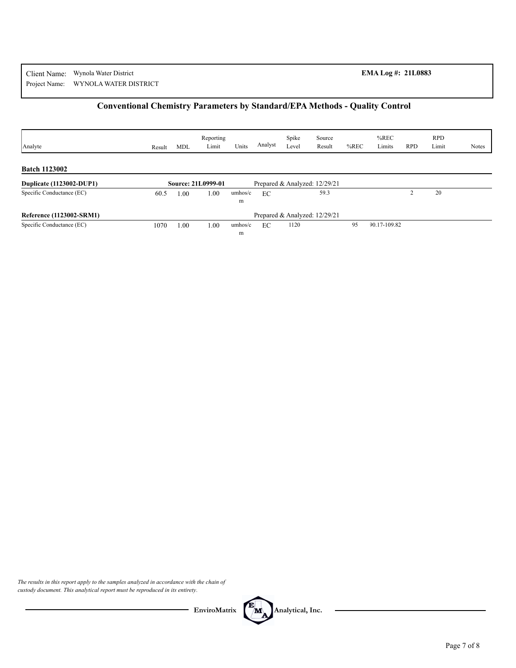# **Conventional Chemistry Parameters by Standard/EPA Methods - Quality Control**

| Analyte                         | Result | <b>MDL</b> | Reporting<br>Limit | Units   | Analyst | Spike<br>Level | Source<br>Result              | $%$ REC | $%$ REC<br>Limits | <b>RPD</b> | <b>RPD</b><br>Limit | <b>Notes</b> |
|---------------------------------|--------|------------|--------------------|---------|---------|----------------|-------------------------------|---------|-------------------|------------|---------------------|--------------|
|                                 |        |            |                    |         |         |                |                               |         |                   |            |                     |              |
| <b>Batch 1123002</b>            |        |            |                    |         |         |                |                               |         |                   |            |                     |              |
| <b>Duplicate (1123002-DUP1)</b> |        |            | Source: 21L0999-01 |         |         |                | Prepared & Analyzed: 12/29/21 |         |                   |            |                     |              |
| Specific Conductance (EC)       | 60.5   | .00        | 1.00               | umhos/c | EC      |                | 59.3                          |         |                   |            | 20                  |              |
|                                 |        |            |                    | m       |         |                |                               |         |                   |            |                     |              |
| Reference (1123002-SRM1)        |        |            |                    |         |         |                | Prepared & Analyzed: 12/29/21 |         |                   |            |                     |              |
| Specific Conductance (EC)       | 1070   | .00        | 1.00               | umbos/c | EC      | 1120           |                               | 95      | 90.17-109.82      |            |                     |              |
|                                 |        |            |                    | m       |         |                |                               |         |                   |            |                     |              |

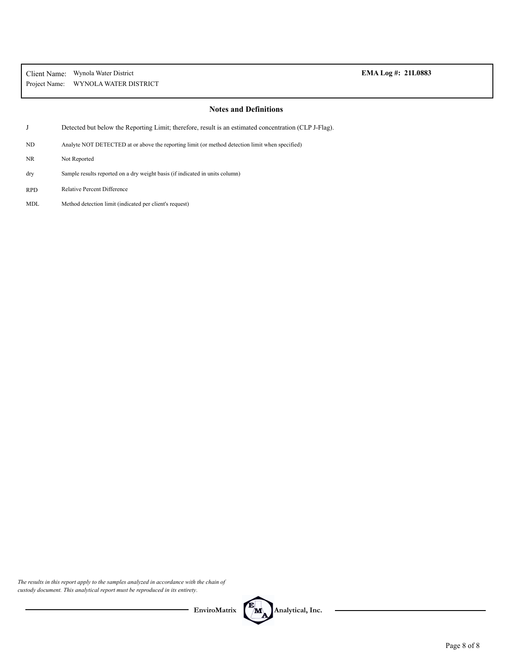| Client Name:  | Wynola Water District |
|---------------|-----------------------|
| Project Name: | WYNOLA WATER DISTRICT |

## EMA Log #: 21L0883

### **Notes and Definitions**

J Detected but below the Reporting Limit; therefore, result is an estimated concentration (CLP J-Flag).

ND Analyte NOT DETECTED at or above the reporting limit (or method detection limit when specified)

- NR Not Reported
- Sample results reported on a dry weight basis (if indicated in units column) dry
- RPD Relative Percent Difference
- MDL Method detection limit (indicated per client's request)